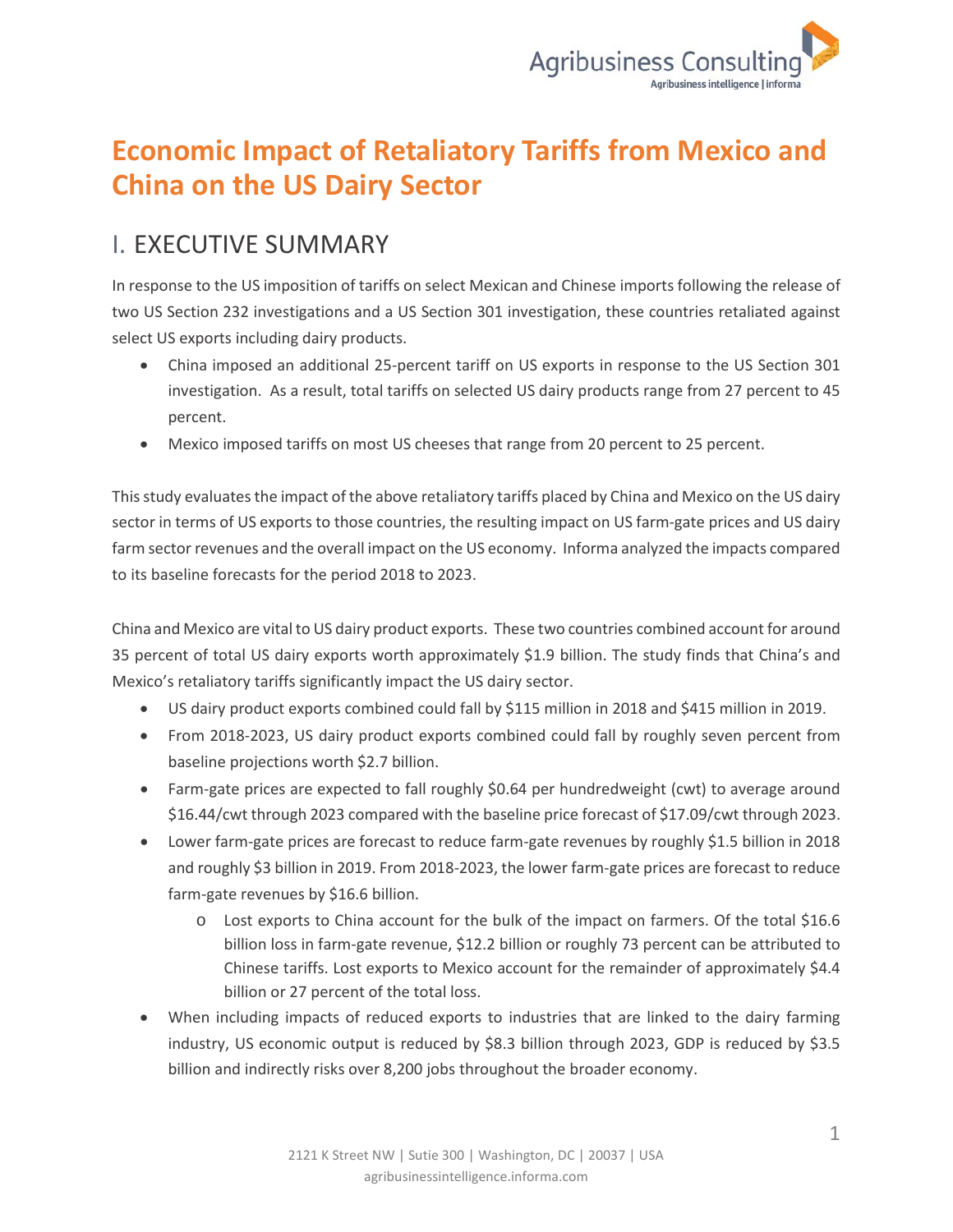

## **Economic Impact of Retaliatory Tariffs from Mexico and China on the US Dairy Sector**

## I. EXECUTIVE SUMMARY

In response to the US imposition of tariffs on select Mexican and Chinese imports following the release of two US Section 232 investigations and a US Section 301 investigation, these countries retaliated against select US exports including dairy products.

- China imposed an additional 25-percent tariff on US exports in response to the US Section 301 investigation. As a result, total tariffs on selected US dairy products range from 27 percent to 45 percent.
- Mexico imposed tariffs on most US cheeses that range from 20 percent to 25 percent.

This study evaluates the impact of the above retaliatory tariffs placed by China and Mexico on the US dairy sector in terms of US exports to those countries, the resulting impact on US farm-gate prices and US dairy farm sector revenues and the overall impact on the US economy. Informa analyzed the impacts compared to its baseline forecasts for the period 2018 to 2023.

China and Mexico are vital to US dairy product exports. These two countries combined account for around 35 percent of total US dairy exports worth approximately \$1.9 billion. The study finds that China's and Mexico's retaliatory tariffs significantly impact the US dairy sector.

- US dairy product exports combined could fall by \$115 million in 2018 and \$415 million in 2019.
- From 2018-2023, US dairy product exports combined could fall by roughly seven percent from baseline projections worth \$2.7 billion.
- Farm-gate prices are expected to fall roughly \$0.64 per hundredweight (cwt) to average around \$16.44/cwt through 2023 compared with the baseline price forecast of \$17.09/cwt through 2023.
- Lower farm-gate prices are forecast to reduce farm-gate revenues by roughly \$1.5 billion in 2018 and roughly \$3 billion in 2019. From 2018-2023, the lower farm-gate prices are forecast to reduce farm-gate revenues by \$16.6 billion.
	- o Lost exports to China account for the bulk of the impact on farmers. Of the total \$16.6 billion loss in farm-gate revenue, \$12.2 billion or roughly 73 percent can be attributed to Chinese tariffs. Lost exports to Mexico account for the remainder of approximately \$4.4 billion or 27 percent of the total loss.
- When including impacts of reduced exports to industries that are linked to the dairy farming industry, US economic output is reduced by \$8.3 billion through 2023, GDP is reduced by \$3.5 billion and indirectly risks over 8,200 jobs throughout the broader economy.